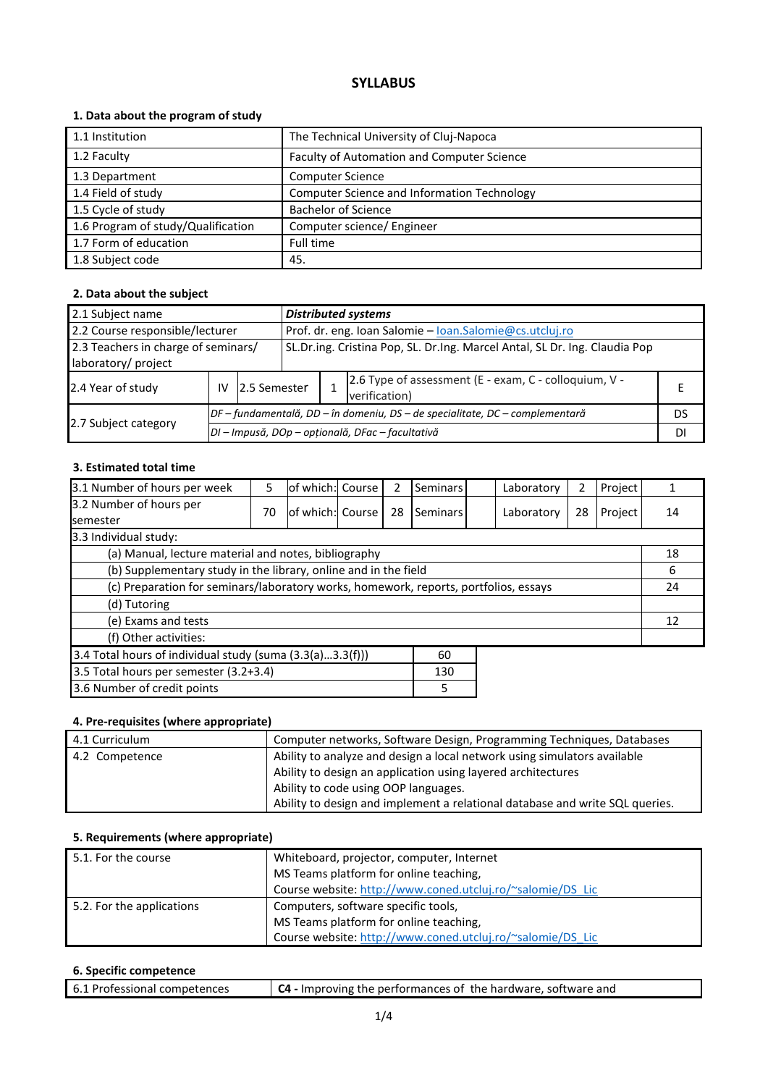# **SYLLABUS**

## **1. Data about the program of study**

| 1.1 Institution                    | The Technical University of Cluj-Napoca     |
|------------------------------------|---------------------------------------------|
| 1.2 Faculty                        | Faculty of Automation and Computer Science  |
| 1.3 Department                     | <b>Computer Science</b>                     |
| 1.4 Field of study                 | Computer Science and Information Technology |
| 1.5 Cycle of study                 | <b>Bachelor of Science</b>                  |
| 1.6 Program of study/Qualification | Computer science/ Engineer                  |
| 1.7 Form of education              | Full time                                   |
| 1.8 Subject code                   | 45.                                         |

## **2. Data about the subject**

| 2.1 Subject name                                           | <b>Distributed systems</b>                                                   |                                                  |                                                                            |  |                                                                        |    |
|------------------------------------------------------------|------------------------------------------------------------------------------|--------------------------------------------------|----------------------------------------------------------------------------|--|------------------------------------------------------------------------|----|
| 2.2 Course responsible/lecturer                            |                                                                              |                                                  | Prof. dr. eng. Ioan Salomie - loan.Salomie@cs.utcluj.ro                    |  |                                                                        |    |
| 2.3 Teachers in charge of seminars/<br>laboratory/ project |                                                                              |                                                  | SL.Dr.ing. Cristina Pop, SL. Dr.Ing. Marcel Antal, SL Dr. Ing. Claudia Pop |  |                                                                        |    |
| 2.4 Year of study                                          | IV                                                                           | 12.5 Semester                                    |                                                                            |  | 2.6 Type of assessment (E - exam, C - colloquium, V -<br>verification) |    |
|                                                            | DF – fundamentală, DD – în domeniu, DS – de specialitate, DC – complementară |                                                  |                                                                            |  |                                                                        | DS |
| 2.7 Subject category                                       |                                                                              | DI - Impusă, DOp - opțională, DFac - facultativă |                                                                            |  |                                                                        |    |

## **3. Estimated total time**

| 3.1 Number of hours per week                                                         | 5  | of which: Course |  | 2  | Seminars |    | Laboratory | 2  | Project |    |
|--------------------------------------------------------------------------------------|----|------------------|--|----|----------|----|------------|----|---------|----|
| 3.2 Number of hours per<br><b>semester</b>                                           | 70 | of which: Course |  | 28 | Seminars |    | Laboratory | 28 | Project | 14 |
| 3.3 Individual study:                                                                |    |                  |  |    |          |    |            |    |         |    |
| (a) Manual, lecture material and notes, bibliography                                 |    |                  |  |    |          |    |            |    |         | 18 |
| (b) Supplementary study in the library, online and in the field                      |    |                  |  |    |          | 6  |            |    |         |    |
| (c) Preparation for seminars/laboratory works, homework, reports, portfolios, essays |    |                  |  |    |          | 24 |            |    |         |    |
| (d) Tutoring                                                                         |    |                  |  |    |          |    |            |    |         |    |
| (e) Exams and tests                                                                  |    |                  |  |    |          |    | 12         |    |         |    |
| (f) Other activities:                                                                |    |                  |  |    |          |    |            |    |         |    |
| 3.4 Total hours of individual study (suma (3.3(a)3.3(f)))<br>60                      |    |                  |  |    |          |    |            |    |         |    |
| 3.5 Total hours per semester (3.2+3.4)                                               |    |                  |  |    | 130      |    |            |    |         |    |
| 3.6 Number of credit points<br>5                                                     |    |                  |  |    |          |    |            |    |         |    |

## **4. Pre-requisites (where appropriate)**

| 4.1 Curriculum | Computer networks, Software Design, Programming Techniques, Databases        |
|----------------|------------------------------------------------------------------------------|
| 4.2 Competence | Ability to analyze and design a local network using simulators available     |
|                | Ability to design an application using layered architectures                 |
|                | Ability to code using OOP languages.                                         |
|                | Ability to design and implement a relational database and write SQL queries. |

## **5. Requirements (where appropriate)**

| 5.1. For the course       | Whiteboard, projector, computer, Internet                  |  |  |  |
|---------------------------|------------------------------------------------------------|--|--|--|
|                           | MS Teams platform for online teaching,                     |  |  |  |
|                           | Course website: http://www.coned.utcluj.ro/~salomie/DS_Lic |  |  |  |
| 5.2. For the applications | Computers, software specific tools,                        |  |  |  |
|                           | MS Teams platform for online teaching,                     |  |  |  |
|                           | Course website: http://www.coned.utcluj.ro/~salomie/DS_Lic |  |  |  |

### **6. Specific competence**

| 6.1 Professional competences | C4 - Improving the performances of the hardware, software and |
|------------------------------|---------------------------------------------------------------|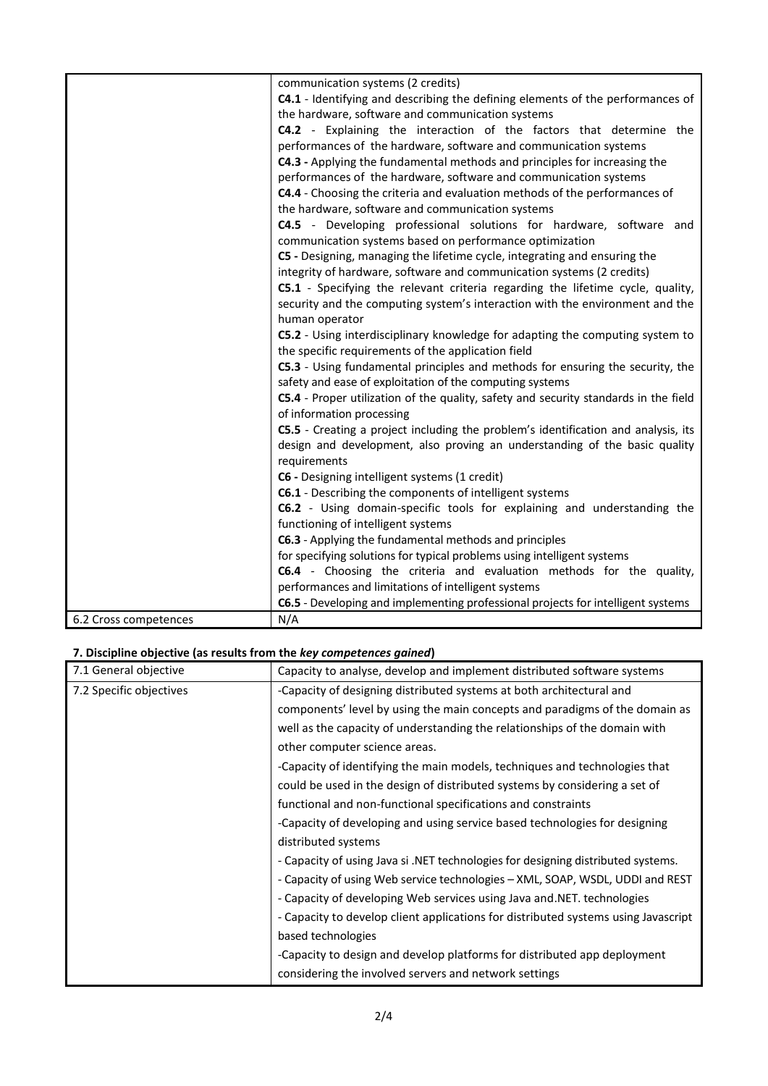|                       | communication systems (2 credits)                                                    |
|-----------------------|--------------------------------------------------------------------------------------|
|                       | C4.1 - Identifying and describing the defining elements of the performances of       |
|                       | the hardware, software and communication systems                                     |
|                       | C4.2 - Explaining the interaction of the factors that determine the                  |
|                       | performances of the hardware, software and communication systems                     |
|                       | C4.3 - Applying the fundamental methods and principles for increasing the            |
|                       | performances of the hardware, software and communication systems                     |
|                       | C4.4 - Choosing the criteria and evaluation methods of the performances of           |
|                       | the hardware, software and communication systems                                     |
|                       | C4.5 - Developing professional solutions for hardware, software and                  |
|                       | communication systems based on performance optimization                              |
|                       | C5 - Designing, managing the lifetime cycle, integrating and ensuring the            |
|                       | integrity of hardware, software and communication systems (2 credits)                |
|                       | C5.1 - Specifying the relevant criteria regarding the lifetime cycle, quality,       |
|                       | security and the computing system's interaction with the environment and the         |
|                       | human operator                                                                       |
|                       | C5.2 - Using interdisciplinary knowledge for adapting the computing system to        |
|                       | the specific requirements of the application field                                   |
|                       | C5.3 - Using fundamental principles and methods for ensuring the security, the       |
|                       | safety and ease of exploitation of the computing systems                             |
|                       | C5.4 - Proper utilization of the quality, safety and security standards in the field |
|                       | of information processing                                                            |
|                       | C5.5 - Creating a project including the problem's identification and analysis, its   |
|                       | design and development, also proving an understanding of the basic quality           |
|                       | requirements                                                                         |
|                       | C6 - Designing intelligent systems (1 credit)                                        |
|                       | C6.1 - Describing the components of intelligent systems                              |
|                       | C6.2 - Using domain-specific tools for explaining and understanding the              |
|                       | functioning of intelligent systems                                                   |
|                       | C6.3 - Applying the fundamental methods and principles                               |
|                       | for specifying solutions for typical problems using intelligent systems              |
|                       | C6.4 - Choosing the criteria and evaluation methods for the quality,                 |
|                       | performances and limitations of intelligent systems                                  |
|                       | C6.5 - Developing and implementing professional projects for intelligent systems     |
| 6.2 Cross competences | N/A                                                                                  |

# **7. Discipline objective (as results from the** *key competences gained***)**

| 7.1 General objective   | Capacity to analyse, develop and implement distributed software systems            |
|-------------------------|------------------------------------------------------------------------------------|
| 7.2 Specific objectives | -Capacity of designing distributed systems at both architectural and               |
|                         | components' level by using the main concepts and paradigms of the domain as        |
|                         | well as the capacity of understanding the relationships of the domain with         |
|                         | other computer science areas.                                                      |
|                         | -Capacity of identifying the main models, techniques and technologies that         |
|                         | could be used in the design of distributed systems by considering a set of         |
|                         | functional and non-functional specifications and constraints                       |
|                         | -Capacity of developing and using service based technologies for designing         |
|                         | distributed systems                                                                |
|                         | - Capacity of using Java si .NET technologies for designing distributed systems.   |
|                         | - Capacity of using Web service technologies – XML, SOAP, WSDL, UDDI and REST      |
|                         | - Capacity of developing Web services using Java and NET. technologies             |
|                         | - Capacity to develop client applications for distributed systems using Javascript |
|                         | based technologies                                                                 |
|                         | -Capacity to design and develop platforms for distributed app deployment           |
|                         | considering the involved servers and network settings                              |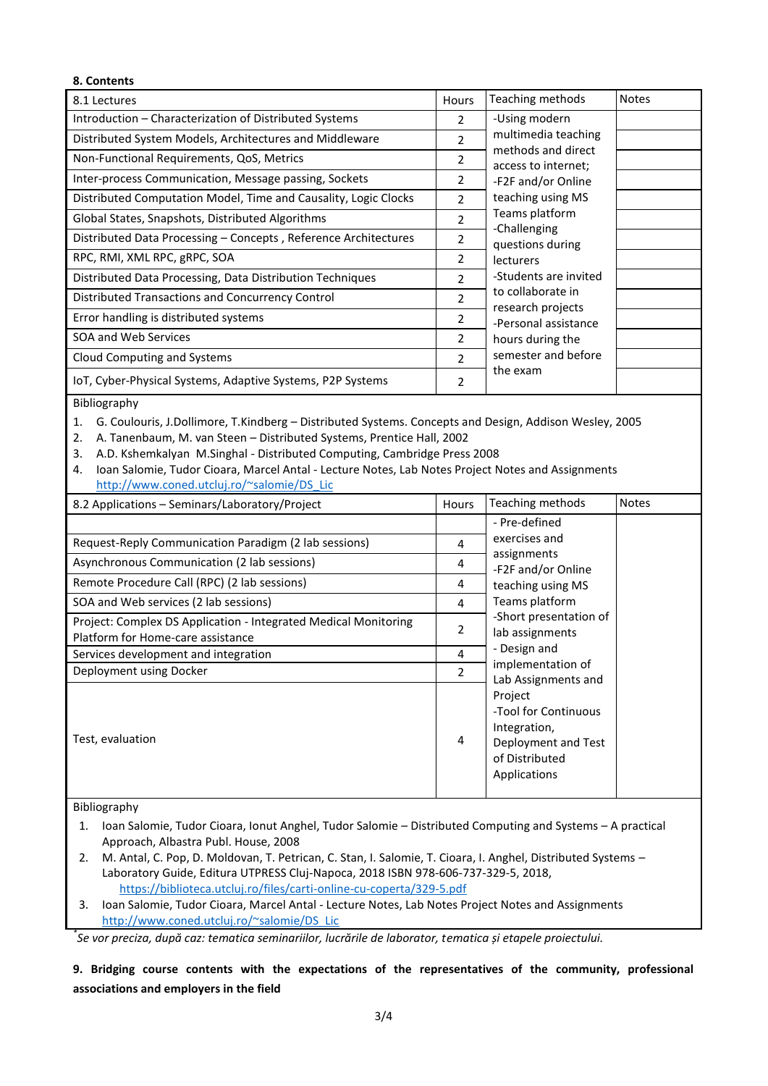| 8. Contents                                                     |                |                                           |              |
|-----------------------------------------------------------------|----------------|-------------------------------------------|--------------|
| 8.1 Lectures                                                    | Hours          | Teaching methods                          | <b>Notes</b> |
| Introduction – Characterization of Distributed Systems          | $\mathcal{P}$  | -Using modern                             |              |
| Distributed System Models, Architectures and Middleware         | 2              | multimedia teaching                       |              |
| Non-Functional Requirements, QoS, Metrics                       | 2              | methods and direct<br>access to internet; |              |
| Inter-process Communication, Message passing, Sockets           | 2              | -F2F and/or Online                        |              |
| Distributed Computation Model, Time and Causality, Logic Clocks | $\mathcal{P}$  | teaching using MS                         |              |
| Global States, Snapshots, Distributed Algorithms                | $\overline{2}$ | Teams platform                            |              |
| Distributed Data Processing - Concepts, Reference Architectures | 2              | -Challenging<br>questions during          |              |
| RPC, RMI, XML RPC, gRPC, SOA                                    | $\mathfrak{p}$ | <b>lecturers</b>                          |              |
| Distributed Data Processing, Data Distribution Techniques       | $\mathcal{P}$  | -Students are invited                     |              |
| Distributed Transactions and Concurrency Control                | $\mathcal{P}$  | to collaborate in<br>research projects    |              |
| Error handling is distributed systems                           | 2              | -Personal assistance                      |              |
| SOA and Web Services                                            | $\mathcal{P}$  | hours during the                          |              |
| Cloud Computing and Systems                                     | $\mathcal{P}$  | semester and before                       |              |
| IoT, Cyber-Physical Systems, Adaptive Systems, P2P Systems      | 2              | the exam                                  |              |

#### Bibliography

1. G. Coulouris, J.Dollimore, T.Kindberg – Distributed Systems. Concepts and Design, Addison Wesley, 2005

- 2. A. Tanenbaum, M. van Steen Distributed Systems, Prentice Hall, 2002
- 3. A.D. Kshemkalyan M.Singhal Distributed Computing, Cambridge Press 2008
- 4. Ioan Salomie, Tudor Cioara, Marcel Antal Lecture Notes, Lab Notes Project Notes and Assignments [http://www.coned.utcluj.ro/~salomie/DS\\_Lic](http://www.coned.utcluj.ro/~salomie/DS_Lic)

| 8.2 Applications – Seminars/Laboratory/Project                                                       | <b>Hours</b>   | Teaching methods                                                                                         | <b>Notes</b> |
|------------------------------------------------------------------------------------------------------|----------------|----------------------------------------------------------------------------------------------------------|--------------|
|                                                                                                      |                | - Pre-defined                                                                                            |              |
| Request-Reply Communication Paradigm (2 lab sessions)                                                | 4              | exercises and                                                                                            |              |
| Asynchronous Communication (2 lab sessions)                                                          | 4              | assignments<br>-F2F and/or Online                                                                        |              |
| Remote Procedure Call (RPC) (2 lab sessions)                                                         | 4              | teaching using MS                                                                                        |              |
| SOA and Web services (2 lab sessions)                                                                | 4              | Teams platform                                                                                           |              |
| Project: Complex DS Application - Integrated Medical Monitoring<br>Platform for Home-care assistance | 2              | -Short presentation of<br>lab assignments                                                                |              |
| Services development and integration                                                                 | 4              | - Design and                                                                                             |              |
| Deployment using Docker                                                                              | $\mathfrak{p}$ | implementation of<br>Lab Assignments and                                                                 |              |
| Test, evaluation                                                                                     | 4              | Project<br>-Tool for Continuous<br>Integration,<br>Deployment and Test<br>of Distributed<br>Applications |              |

#### Bibliography

- 1. Ioan Salomie, Tudor Cioara, Ionut Anghel, Tudor Salomie Distributed Computing and Systems A practical Approach, Albastra Publ. House, 2008
- 2. M. Antal, C. Pop, D. Moldovan, T. Petrican, C. Stan, I. Salomie, T. Cioara, I. Anghel, Distributed Systems Laboratory Guide, Editura UTPRESS Cluj-Napoca, 2018 ISBN 978-606-737-329-5, 2018, <https://biblioteca.utcluj.ro/files/carti-online-cu-coperta/329-5.pdf>
- 3. Ioan Salomie, Tudor Cioara, Marcel Antal Lecture Notes, Lab Notes Project Notes and Assignments [http://www.coned.utcluj.ro/~salomie/DS\\_Lic](http://www.coned.utcluj.ro/~salomie/DS_Lic)

*\* Se vor preciza, după caz: tematica seminariilor, lucrările de laborator, tematica și etapele proiectului.*

**9. Bridging course contents with the expectations of the representatives of the community, professional associations and employers in the field**